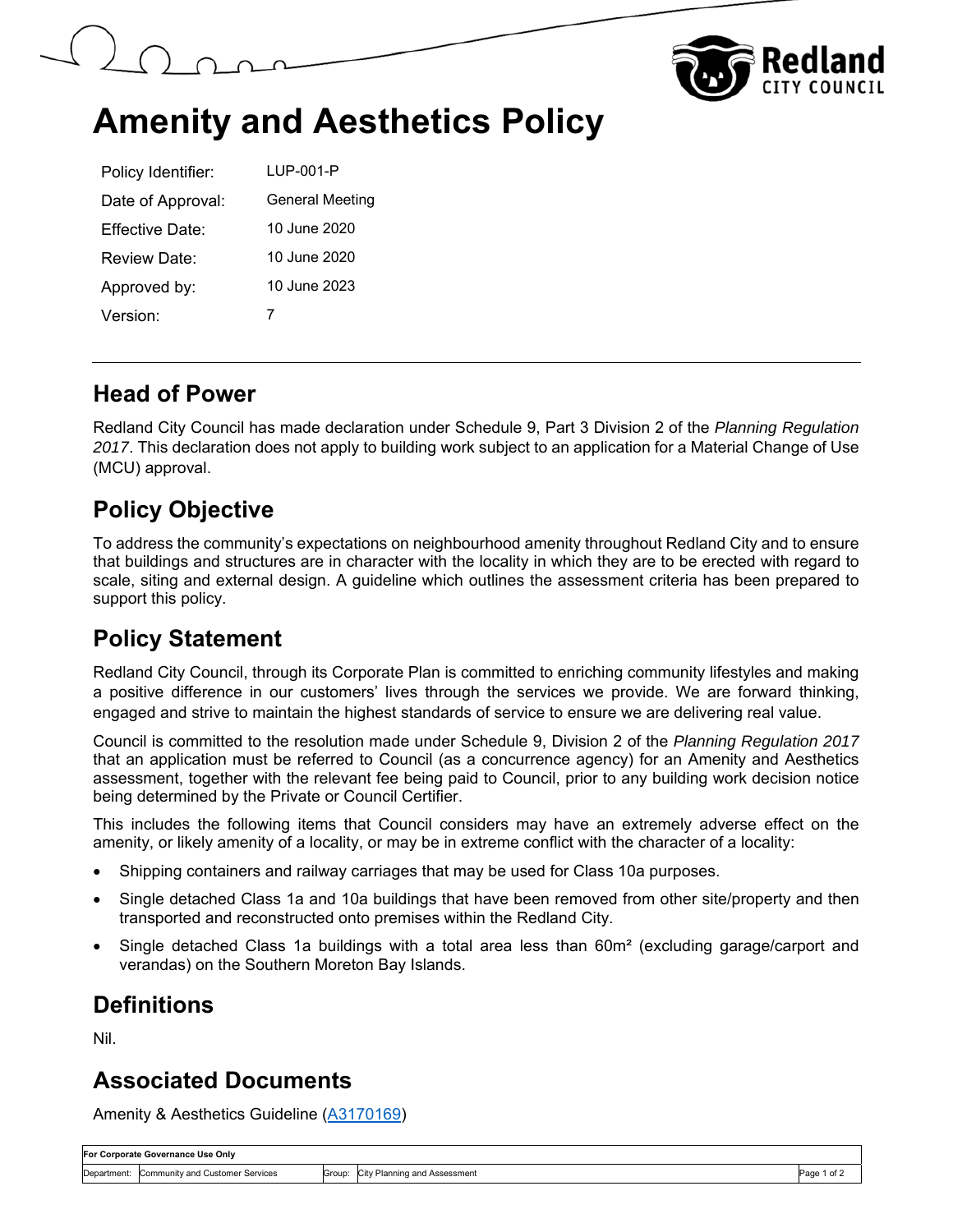



# **Amenity and Aesthetics Policy**

| Policy Identifier:   | LUP-001-P              |
|----------------------|------------------------|
| Date of Approval:    | <b>General Meeting</b> |
| Fffective Date:      | 10 June 2020           |
| Review Date:         | 10 June 2020           |
| Approved by:         | 10 June 2023           |
| Version <sup>-</sup> |                        |

#### **Head of Power**

Redland City Council has made declaration under Schedule 9, Part 3 Division 2 of the *Planning Regulation 2017*. This declaration does not apply to building work subject to an application for a Material Change of Use (MCU) approval.

## **Policy Objective**

To address the community's expectations on neighbourhood amenity throughout Redland City and to ensure that buildings and structures are in character with the locality in which they are to be erected with regard to scale, siting and external design. A guideline which outlines the assessment criteria has been prepared to support this policy.

## **Policy Statement**

Redland City Council, through its Corporate Plan is committed to enriching community lifestyles and making a positive difference in our customers' lives through the services we provide. We are forward thinking, engaged and strive to maintain the highest standards of service to ensure we are delivering real value.

Council is committed to the resolution made under Schedule 9, Division 2 of the *Planning Regulation 2017* that an application must be referred to Council (as a concurrence agency) for an Amenity and Aesthetics assessment, together with the relevant fee being paid to Council, prior to any building work decision notice being determined by the Private or Council Certifier.

This includes the following items that Council considers may have an extremely adverse effect on the amenity, or likely amenity of a locality, or may be in extreme conflict with the character of a locality:

- Shipping containers and railway carriages that may be used for Class 10a purposes.
- Single detached Class 1a and 10a buildings that have been removed from other site/property and then transported and reconstructed onto premises within the Redland City.
- Single detached Class 1a buildings with a total area less than 60m<sup>2</sup> (excluding garage/carport and verandas) on the Southern Moreton Bay Islands.

# **Definitions**

Nil.

#### **Associated Documents**

Amenity & Aesthetics Guideline (A3170169)

| For Corporate Governance Use Only |                                 |  |                                     |             |  |  |
|-----------------------------------|---------------------------------|--|-------------------------------------|-------------|--|--|
| Department:                       | Community and Customer Services |  | Group: City Planning and Assessment | Page 1 of z |  |  |